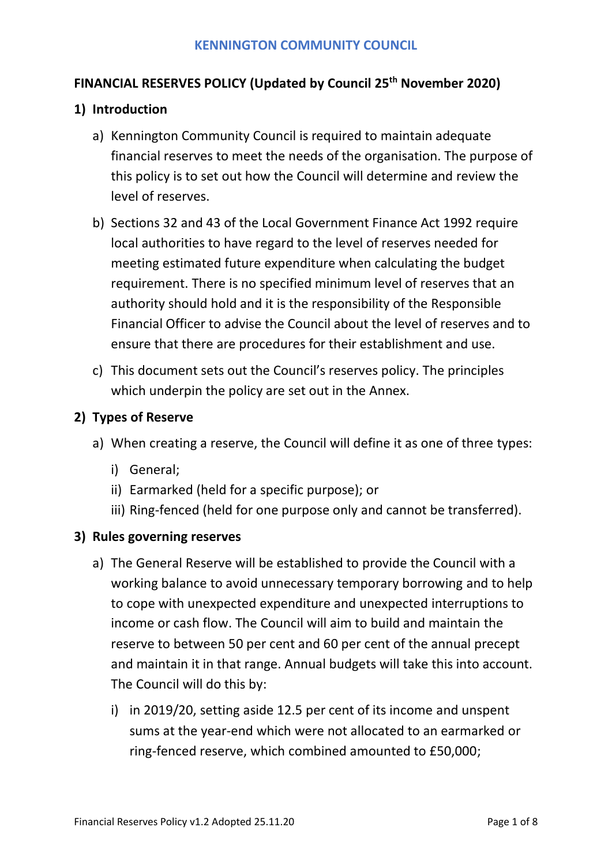# **FINANCIAL RESERVES POLICY (Updated by Council 25th November 2020)**

## **1) Introduction**

- a) Kennington Community Council is required to maintain adequate financial reserves to meet the needs of the organisation. The purpose of this policy is to set out how the Council will determine and review the level of reserves.
- b) Sections 32 and 43 of the Local Government Finance Act 1992 require local authorities to have regard to the level of reserves needed for meeting estimated future expenditure when calculating the budget requirement. There is no specified minimum level of reserves that an authority should hold and it is the responsibility of the Responsible Financial Officer to advise the Council about the level of reserves and to ensure that there are procedures for their establishment and use.
- c) This document sets out the Council's reserves policy. The principles which underpin the policy are set out in the Annex.

## **2) Types of Reserve**

- a) When creating a reserve, the Council will define it as one of three types:
	- i) General;
	- ii) Earmarked (held for a specific purpose); or
	- iii) Ring-fenced (held for one purpose only and cannot be transferred).

#### **3) Rules governing reserves**

- a) The General Reserve will be established to provide the Council with a working balance to avoid unnecessary temporary borrowing and to help to cope with unexpected expenditure and unexpected interruptions to income or cash flow. The Council will aim to build and maintain the reserve to between 50 per cent and 60 per cent of the annual precept and maintain it in that range. Annual budgets will take this into account. The Council will do this by:
	- i) in 2019/20, setting aside 12.5 per cent of its income and unspent sums at the year-end which were not allocated to an earmarked or ring-fenced reserve, which combined amounted to £50,000;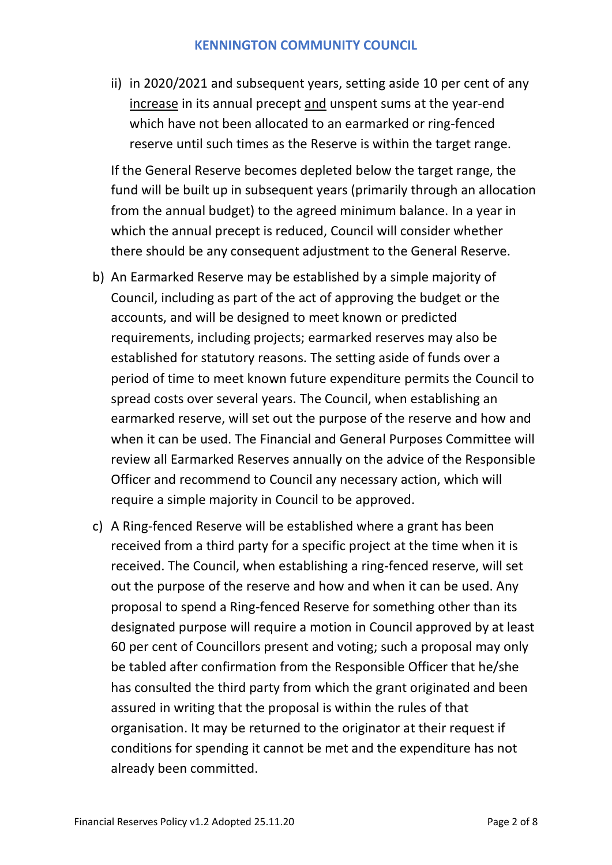ii) in 2020/2021 and subsequent years, setting aside 10 per cent of any increase in its annual precept and unspent sums at the year-end which have not been allocated to an earmarked or ring-fenced reserve until such times as the Reserve is within the target range.

If the General Reserve becomes depleted below the target range, the fund will be built up in subsequent years (primarily through an allocation from the annual budget) to the agreed minimum balance. In a year in which the annual precept is reduced, Council will consider whether there should be any consequent adjustment to the General Reserve.

- b) An Earmarked Reserve may be established by a simple majority of Council, including as part of the act of approving the budget or the accounts, and will be designed to meet known or predicted requirements, including projects; earmarked reserves may also be established for statutory reasons. The setting aside of funds over a period of time to meet known future expenditure permits the Council to spread costs over several years. The Council, when establishing an earmarked reserve, will set out the purpose of the reserve and how and when it can be used. The Financial and General Purposes Committee will review all Earmarked Reserves annually on the advice of the Responsible Officer and recommend to Council any necessary action, which will require a simple majority in Council to be approved.
- c) A Ring-fenced Reserve will be established where a grant has been received from a third party for a specific project at the time when it is received. The Council, when establishing a ring-fenced reserve, will set out the purpose of the reserve and how and when it can be used. Any proposal to spend a Ring-fenced Reserve for something other than its designated purpose will require a motion in Council approved by at least 60 per cent of Councillors present and voting; such a proposal may only be tabled after confirmation from the Responsible Officer that he/she has consulted the third party from which the grant originated and been assured in writing that the proposal is within the rules of that organisation. It may be returned to the originator at their request if conditions for spending it cannot be met and the expenditure has not already been committed.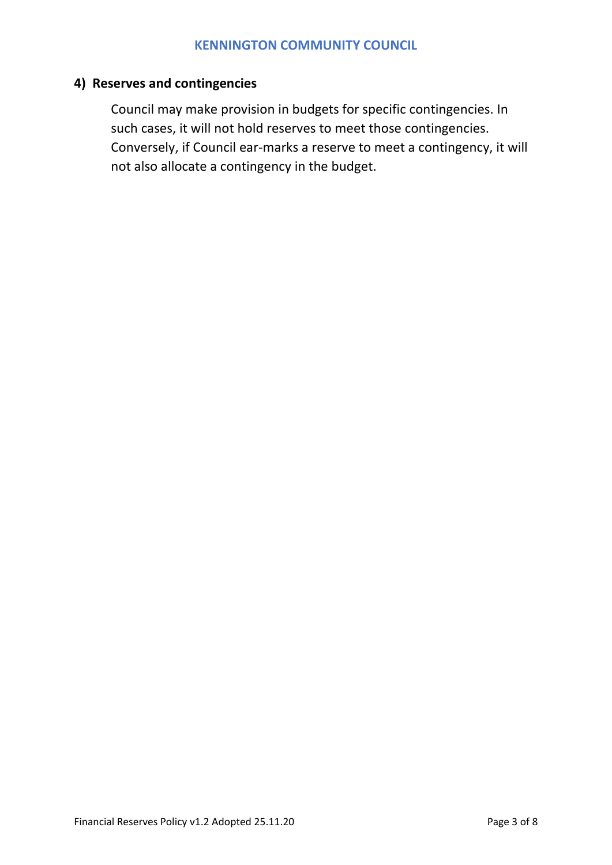# **4) Reserves and contingencies**

Council may make provision in budgets for specific contingencies. In such cases, it will not hold reserves to meet those contingencies. Conversely, if Council ear-marks a reserve to meet a contingency, it will not also allocate a contingency in the budget.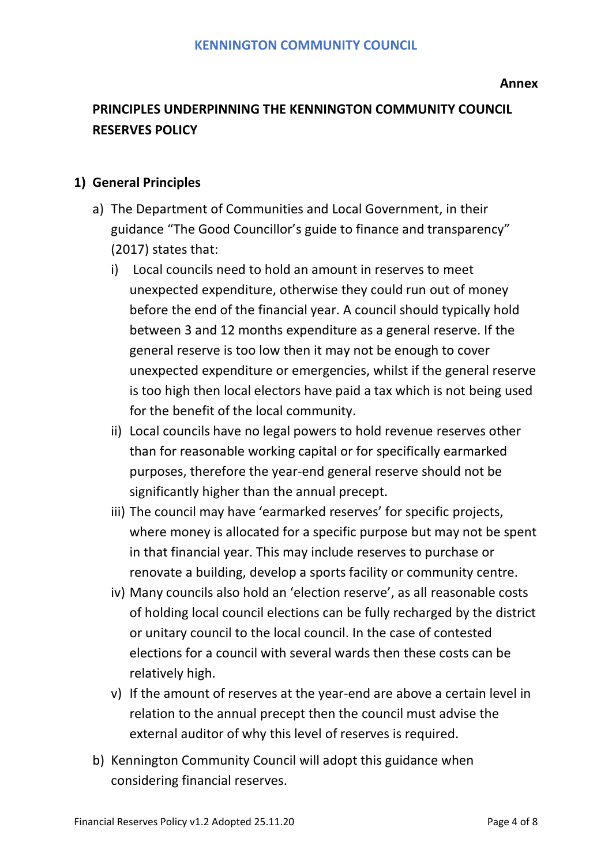# **PRINCIPLES UNDERPINNING THE KENNINGTON COMMUNITY COUNCIL RESERVES POLICY**

# **1) General Principles**

- a) The Department of Communities and Local Government, in their guidance "The Good Councillor's guide to finance and transparency" (2017) states that:
	- i) Local councils need to hold an amount in reserves to meet unexpected expenditure, otherwise they could run out of money before the end of the financial year. A council should typically hold between 3 and 12 months expenditure as a general reserve. If the general reserve is too low then it may not be enough to cover unexpected expenditure or emergencies, whilst if the general reserve is too high then local electors have paid a tax which is not being used for the benefit of the local community.
	- ii) Local councils have no legal powers to hold revenue reserves other than for reasonable working capital or for specifically earmarked purposes, therefore the year-end general reserve should not be significantly higher than the annual precept.
	- iii) The council may have 'earmarked reserves' for specific projects, where money is allocated for a specific purpose but may not be spent in that financial year. This may include reserves to purchase or renovate a building, develop a sports facility or community centre.
	- iv) Many councils also hold an 'election reserve', as all reasonable costs of holding local council elections can be fully recharged by the district or unitary council to the local council. In the case of contested elections for a council with several wards then these costs can be relatively high.
	- v) If the amount of reserves at the year-end are above a certain level in relation to the annual precept then the council must advise the external auditor of why this level of reserves is required.
- b) Kennington Community Council will adopt this guidance when considering financial reserves.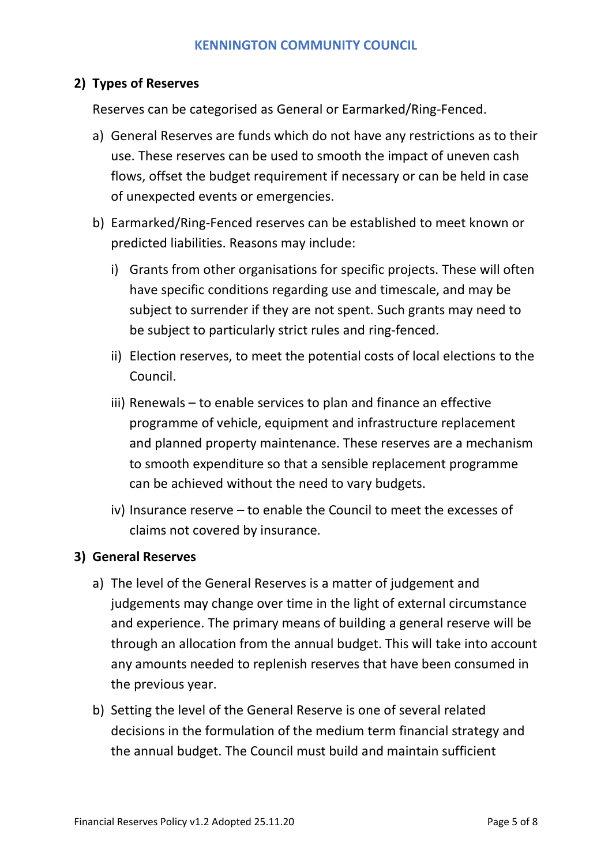## **2) Types of Reserves**

Reserves can be categorised as General or Earmarked/Ring-Fenced.

- a) General Reserves are funds which do not have any restrictions as to their use. These reserves can be used to smooth the impact of uneven cash flows, offset the budget requirement if necessary or can be held in case of unexpected events or emergencies.
- b) Earmarked/Ring-Fenced reserves can be established to meet known or predicted liabilities. Reasons may include:
	- i) Grants from other organisations for specific projects. These will often have specific conditions regarding use and timescale, and may be subject to surrender if they are not spent. Such grants may need to be subject to particularly strict rules and ring-fenced.
	- ii) Election reserves, to meet the potential costs of local elections to the Council.
	- iii) Renewals to enable services to plan and finance an effective programme of vehicle, equipment and infrastructure replacement and planned property maintenance. These reserves are a mechanism to smooth expenditure so that a sensible replacement programme can be achieved without the need to vary budgets.
	- iv) Insurance reserve to enable the Council to meet the excesses of claims not covered by insurance.

#### **3) General Reserves**

- a) The level of the General Reserves is a matter of judgement and judgements may change over time in the light of external circumstance and experience. The primary means of building a general reserve will be through an allocation from the annual budget. This will take into account any amounts needed to replenish reserves that have been consumed in the previous year.
- b) Setting the level of the General Reserve is one of several related decisions in the formulation of the medium term financial strategy and the annual budget. The Council must build and maintain sufficient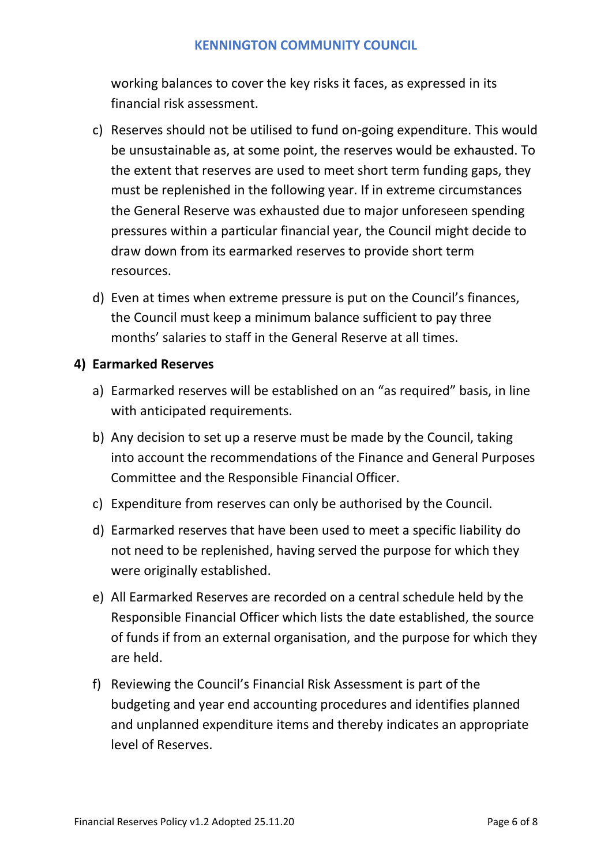working balances to cover the key risks it faces, as expressed in its financial risk assessment.

- c) Reserves should not be utilised to fund on-going expenditure. This would be unsustainable as, at some point, the reserves would be exhausted. To the extent that reserves are used to meet short term funding gaps, they must be replenished in the following year. If in extreme circumstances the General Reserve was exhausted due to major unforeseen spending pressures within a particular financial year, the Council might decide to draw down from its earmarked reserves to provide short term resources.
- d) Even at times when extreme pressure is put on the Council's finances, the Council must keep a minimum balance sufficient to pay three months' salaries to staff in the General Reserve at all times.

#### **4) Earmarked Reserves**

- a) Earmarked reserves will be established on an "as required" basis, in line with anticipated requirements.
- b) Any decision to set up a reserve must be made by the Council, taking into account the recommendations of the Finance and General Purposes Committee and the Responsible Financial Officer.
- c) Expenditure from reserves can only be authorised by the Council.
- d) Earmarked reserves that have been used to meet a specific liability do not need to be replenished, having served the purpose for which they were originally established.
- e) All Earmarked Reserves are recorded on a central schedule held by the Responsible Financial Officer which lists the date established, the source of funds if from an external organisation, and the purpose for which they are held.
- f) Reviewing the Council's Financial Risk Assessment is part of the budgeting and year end accounting procedures and identifies planned and unplanned expenditure items and thereby indicates an appropriate level of Reserves.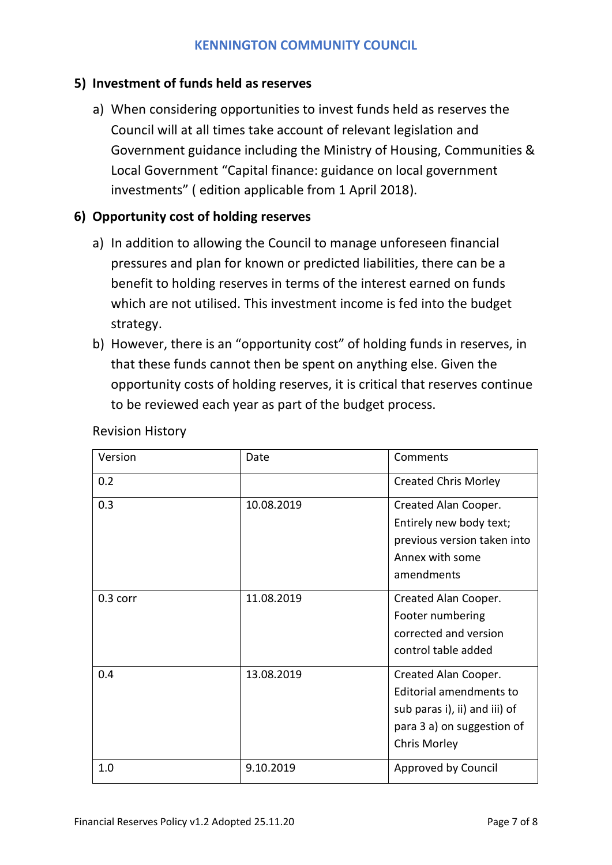### **5) Investment of funds held as reserves**

a) When considering opportunities to invest funds held as reserves the Council will at all times take account of relevant legislation and Government guidance including the Ministry of Housing, Communities & Local Government "Capital finance: guidance on local government investments" ( edition applicable from 1 April 2018).

## **6) Opportunity cost of holding reserves**

- a) In addition to allowing the Council to manage unforeseen financial pressures and plan for known or predicted liabilities, there can be a benefit to holding reserves in terms of the interest earned on funds which are not utilised. This investment income is fed into the budget strategy.
- b) However, there is an "opportunity cost" of holding funds in reserves, in that these funds cannot then be spent on anything else. Given the opportunity costs of holding reserves, it is critical that reserves continue to be reviewed each year as part of the budget process.

| Version    | Date       | Comments                                                                                                                       |
|------------|------------|--------------------------------------------------------------------------------------------------------------------------------|
| 0.2        |            | <b>Created Chris Morley</b>                                                                                                    |
| 0.3        | 10.08.2019 | Created Alan Cooper.<br>Entirely new body text;<br>previous version taken into<br>Annex with some                              |
|            |            | amendments                                                                                                                     |
| $0.3$ corr | 11.08.2019 | Created Alan Cooper.<br>Footer numbering<br>corrected and version<br>control table added                                       |
| 0.4        | 13.08.2019 | Created Alan Cooper.<br>Editorial amendments to<br>sub paras i), ii) and iii) of<br>para 3 a) on suggestion of<br>Chris Morley |
| 1.0        | 9.10.2019  | Approved by Council                                                                                                            |

Revision History